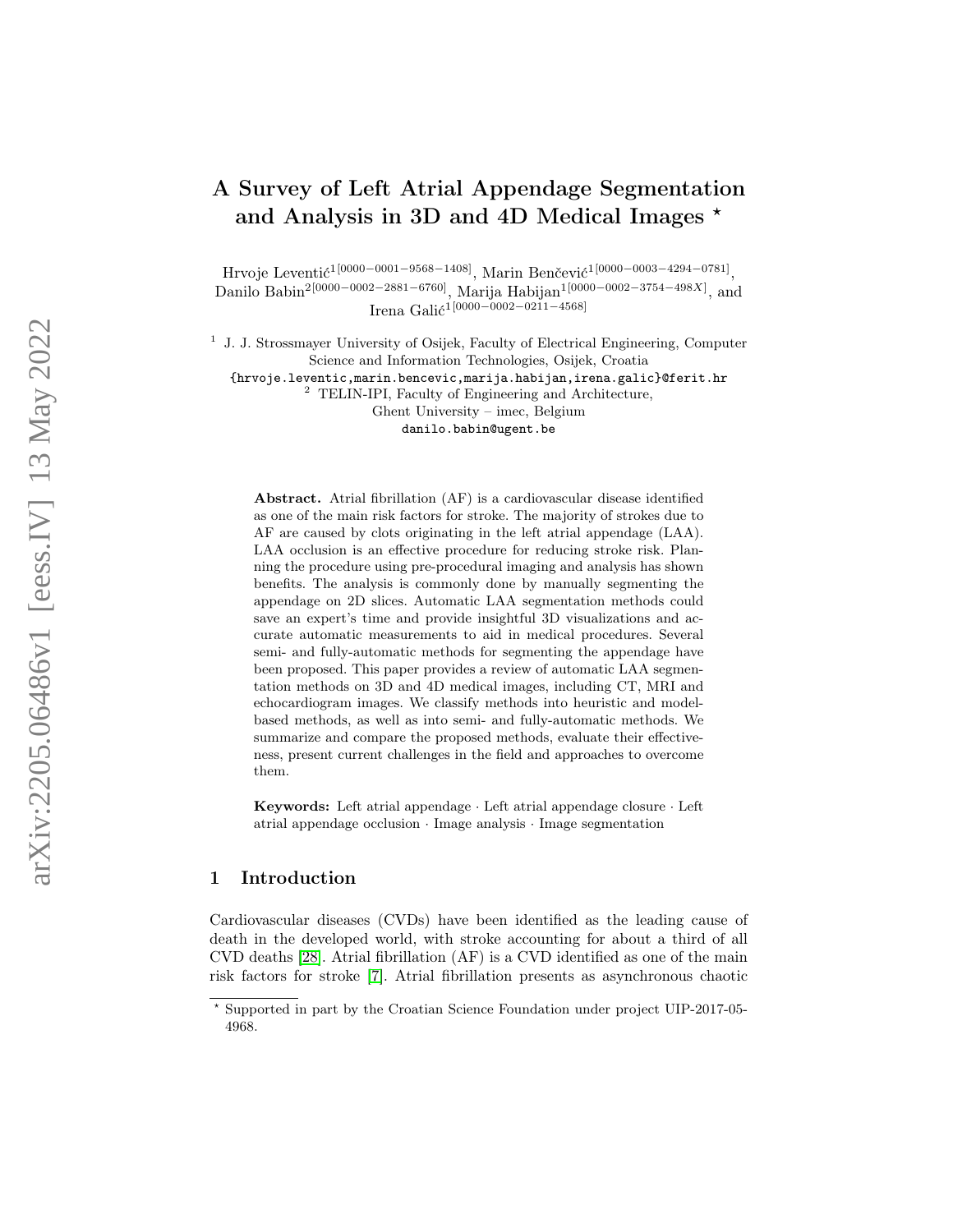# A Survey of Left Atrial Appendage Segmentation and Analysis in 3D and 4D Medical Images  $^{\star}$

Hrvoje Leventić<sup>1[0000–0001–9568–1408]</sup>, Marin Benčević<sup>1</sup><sup>[0000–0003–4294–0781]</sup>, Danilo Babin<sup>2[0000–0002–2881–6760]</sup>, Marija Habijan<sup>1[0000–0002–3754–498X]</sup>, and Irena Galić<sup>1[0000–0002–0211–4568]</sup>

<sup>1</sup> J. J. Strossmayer University of Osijek, Faculty of Electrical Engineering, Computer Science and Information Technologies, Osijek, Croatia

{hrvoje.leventic,marin.bencevic,marija.habijan,irena.galic}@ferit.hr

<sup>2</sup> TELIN-IPI, Faculty of Engineering and Architecture,

Ghent University – imec, Belgium danilo.babin@ugent.be

Abstract. Atrial fibrillation (AF) is a cardiovascular disease identified as one of the main risk factors for stroke. The majority of strokes due to AF are caused by clots originating in the left atrial appendage (LAA). LAA occlusion is an effective procedure for reducing stroke risk. Planning the procedure using pre-procedural imaging and analysis has shown benefits. The analysis is commonly done by manually segmenting the appendage on 2D slices. Automatic LAA segmentation methods could save an expert's time and provide insightful 3D visualizations and accurate automatic measurements to aid in medical procedures. Several semi- and fully-automatic methods for segmenting the appendage have been proposed. This paper provides a review of automatic LAA segmentation methods on 3D and 4D medical images, including CT, MRI and echocardiogram images. We classify methods into heuristic and modelbased methods, as well as into semi- and fully-automatic methods. We summarize and compare the proposed methods, evaluate their effectiveness, present current challenges in the field and approaches to overcome them.

Keywords: Left atrial appendage · Left atrial appendage closure · Left atrial appendage occlusion · Image analysis · Image segmentation

### 1 Introduction

Cardiovascular diseases (CVDs) have been identified as the leading cause of death in the developed world, with stroke accounting for about a third of all CVD deaths [\[28\]](#page-11-0). Atrial fibrillation (AF) is a CVD identified as one of the main risk factors for stroke [\[7\]](#page-9-0). Atrial fibrillation presents as asynchronous chaotic

<sup>?</sup> Supported in part by the Croatian Science Foundation under project UIP-2017-05- 4968.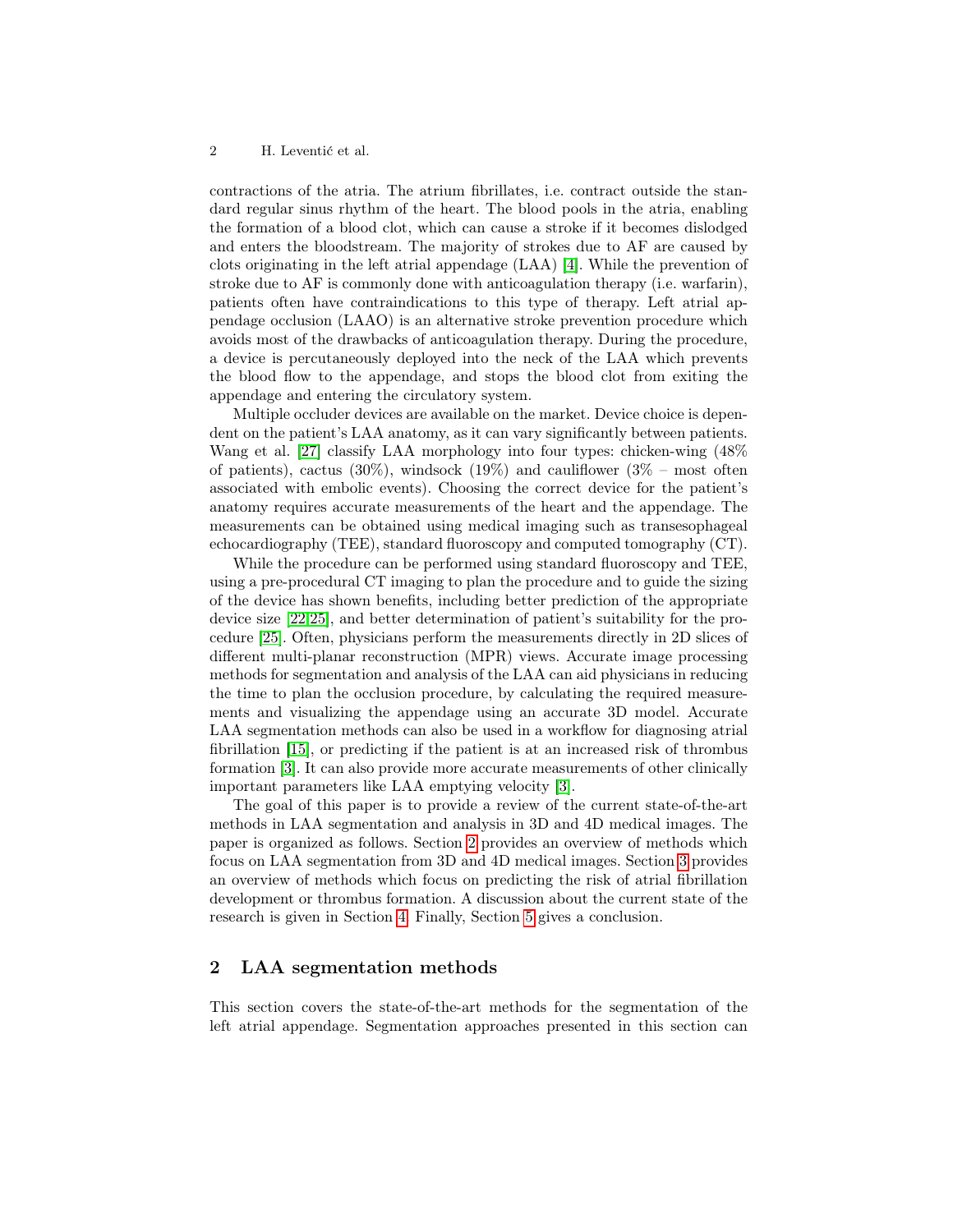contractions of the atria. The atrium fibrillates, i.e. contract outside the standard regular sinus rhythm of the heart. The blood pools in the atria, enabling the formation of a blood clot, which can cause a stroke if it becomes dislodged and enters the bloodstream. The majority of strokes due to AF are caused by clots originating in the left atrial appendage (LAA) [\[4\]](#page-9-1). While the prevention of stroke due to AF is commonly done with anticoagulation therapy (i.e. warfarin), patients often have contraindications to this type of therapy. Left atrial appendage occlusion (LAAO) is an alternative stroke prevention procedure which avoids most of the drawbacks of anticoagulation therapy. During the procedure, a device is percutaneously deployed into the neck of the LAA which prevents the blood flow to the appendage, and stops the blood clot from exiting the appendage and entering the circulatory system.

Multiple occluder devices are available on the market. Device choice is dependent on the patient's LAA anatomy, as it can vary significantly between patients. Wang et al. [\[27\]](#page-11-1) classify LAA morphology into four types: chicken-wing (48% of patients), cactus (30%), windsock (19%) and cauliflower ( $3\%$  – most often associated with embolic events). Choosing the correct device for the patient's anatomy requires accurate measurements of the heart and the appendage. The measurements can be obtained using medical imaging such as transesophageal echocardiography (TEE), standard fluoroscopy and computed tomography (CT).

While the procedure can be performed using standard fluoroscopy and TEE, using a pre-procedural CT imaging to plan the procedure and to guide the sizing of the device has shown benefits, including better prediction of the appropriate device size [\[22,](#page-11-2)[25\]](#page-11-3), and better determination of patient's suitability for the procedure [\[25\]](#page-11-3). Often, physicians perform the measurements directly in 2D slices of different multi-planar reconstruction (MPR) views. Accurate image processing methods for segmentation and analysis of the LAA can aid physicians in reducing the time to plan the occlusion procedure, by calculating the required measurements and visualizing the appendage using an accurate 3D model. Accurate LAA segmentation methods can also be used in a workflow for diagnosing atrial fibrillation [\[15\]](#page-10-0), or predicting if the patient is at an increased risk of thrombus formation [\[3\]](#page-9-2). It can also provide more accurate measurements of other clinically important parameters like LAA emptying velocity [\[3\]](#page-9-2).

The goal of this paper is to provide a review of the current state-of-the-art methods in LAA segmentation and analysis in 3D and 4D medical images. The paper is organized as follows. Section [2](#page-1-0) provides an overview of methods which focus on LAA segmentation from 3D and 4D medical images. Section [3](#page-7-0) provides an overview of methods which focus on predicting the risk of atrial fibrillation development or thrombus formation. A discussion about the current state of the research is given in Section [4.](#page-8-0) Finally, Section [5](#page-8-1) gives a conclusion.

## <span id="page-1-0"></span>2 LAA segmentation methods

This section covers the state-of-the-art methods for the segmentation of the left atrial appendage. Segmentation approaches presented in this section can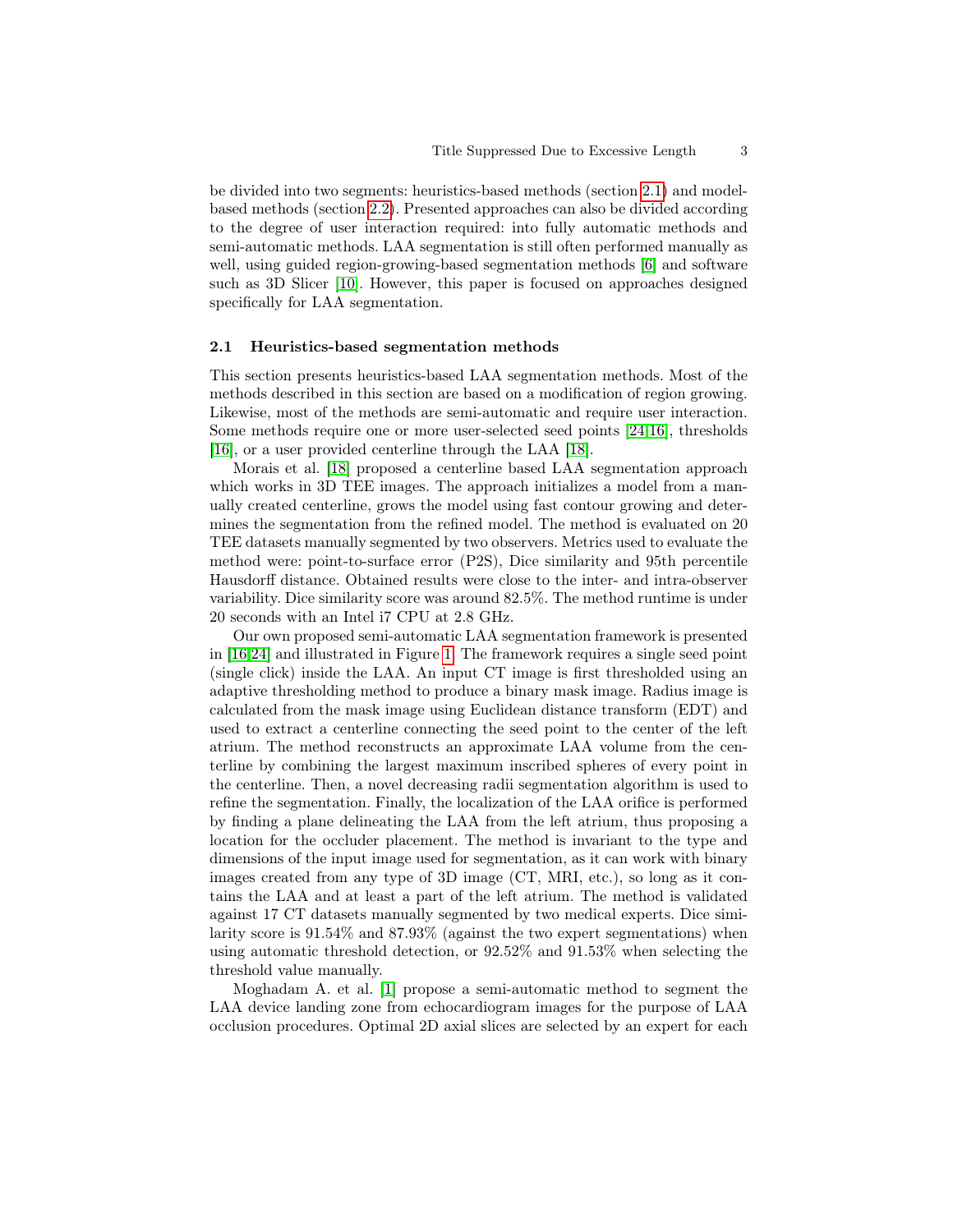be divided into two segments: heuristics-based methods (section [2.1\)](#page-2-0) and modelbased methods (section [2.2\)](#page-3-0). Presented approaches can also be divided according to the degree of user interaction required: into fully automatic methods and semi-automatic methods. LAA segmentation is still often performed manually as well, using guided region-growing-based segmentation methods [\[6\]](#page-9-3) and software such as 3D Slicer [\[10\]](#page-10-1). However, this paper is focused on approaches designed specifically for LAA segmentation.

#### <span id="page-2-0"></span>2.1 Heuristics-based segmentation methods

This section presents heuristics-based LAA segmentation methods. Most of the methods described in this section are based on a modification of region growing. Likewise, most of the methods are semi-automatic and require user interaction. Some methods require one or more user-selected seed points [\[24](#page-11-4)[,16\]](#page-10-2), thresholds [\[16\]](#page-10-2), or a user provided centerline through the LAA [\[18\]](#page-10-3).

Morais et al. [\[18\]](#page-10-3) proposed a centerline based LAA segmentation approach which works in 3D TEE images. The approach initializes a model from a manually created centerline, grows the model using fast contour growing and determines the segmentation from the refined model. The method is evaluated on 20 TEE datasets manually segmented by two observers. Metrics used to evaluate the method were: point-to-surface error (P2S), Dice similarity and 95th percentile Hausdorff distance. Obtained results were close to the inter- and intra-observer variability. Dice similarity score was around 82.5%. The method runtime is under 20 seconds with an Intel i7 CPU at 2.8 GHz.

Our own proposed semi-automatic LAA segmentation framework is presented in [\[16](#page-10-2)[,24\]](#page-11-4) and illustrated in Figure [1.](#page-3-1) The framework requires a single seed point (single click) inside the LAA. An input CT image is first thresholded using an adaptive thresholding method to produce a binary mask image. Radius image is calculated from the mask image using Euclidean distance transform (EDT) and used to extract a centerline connecting the seed point to the center of the left atrium. The method reconstructs an approximate LAA volume from the centerline by combining the largest maximum inscribed spheres of every point in the centerline. Then, a novel decreasing radii segmentation algorithm is used to refine the segmentation. Finally, the localization of the LAA orifice is performed by finding a plane delineating the LAA from the left atrium, thus proposing a location for the occluder placement. The method is invariant to the type and dimensions of the input image used for segmentation, as it can work with binary images created from any type of 3D image (CT, MRI, etc.), so long as it contains the LAA and at least a part of the left atrium. The method is validated against 17 CT datasets manually segmented by two medical experts. Dice similarity score is 91.54% and 87.93% (against the two expert segmentations) when using automatic threshold detection, or 92.52% and 91.53% when selecting the threshold value manually.

Moghadam A. et al. [\[1\]](#page-9-4) propose a semi-automatic method to segment the LAA device landing zone from echocardiogram images for the purpose of LAA occlusion procedures. Optimal 2D axial slices are selected by an expert for each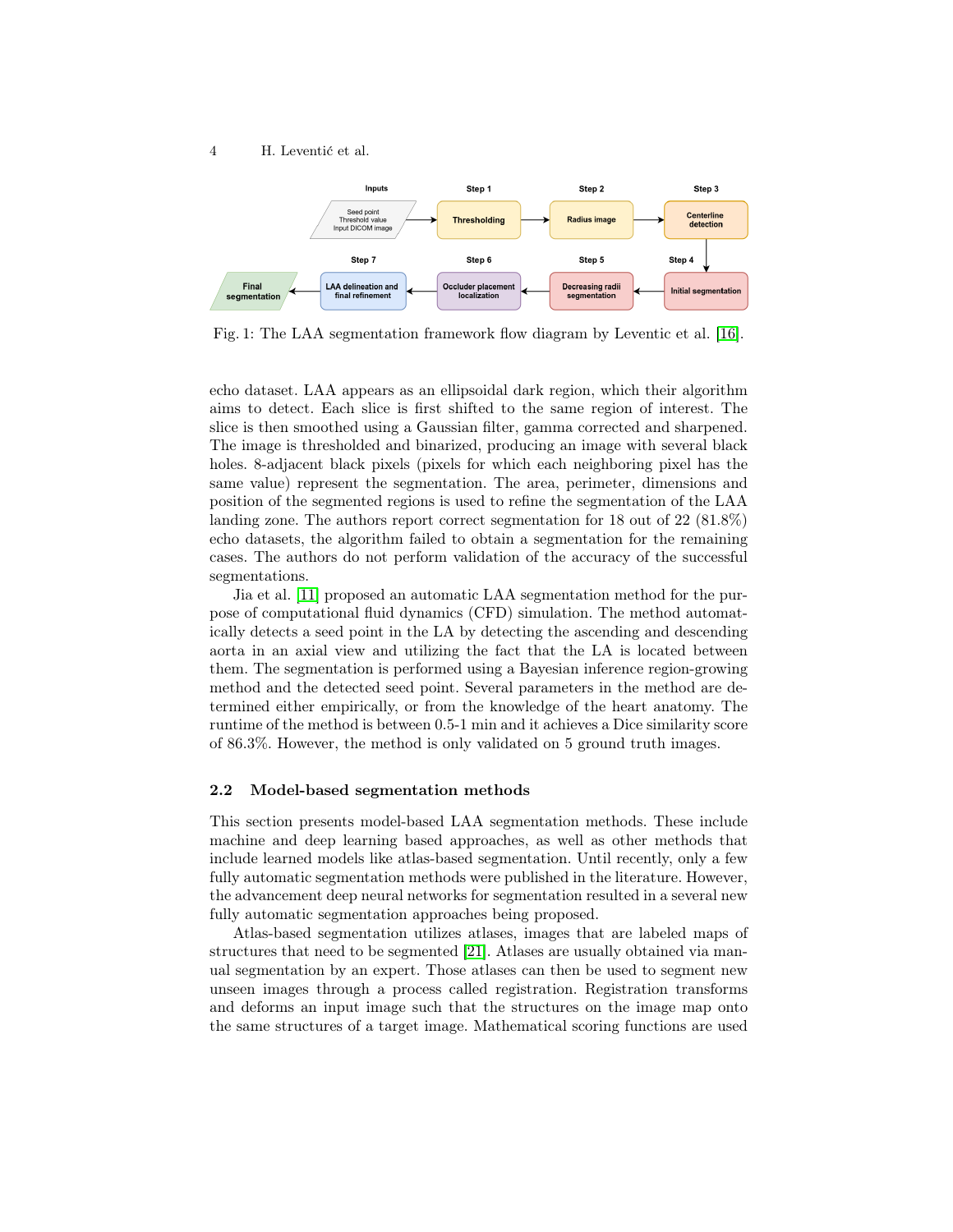

<span id="page-3-1"></span>

Fig. 1: The LAA segmentation framework flow diagram by Leventic et al. [\[16\]](#page-10-2).

echo dataset. LAA appears as an ellipsoidal dark region, which their algorithm aims to detect. Each slice is first shifted to the same region of interest. The slice is then smoothed using a Gaussian filter, gamma corrected and sharpened. The image is thresholded and binarized, producing an image with several black holes. 8-adjacent black pixels (pixels for which each neighboring pixel has the same value) represent the segmentation. The area, perimeter, dimensions and position of the segmented regions is used to refine the segmentation of the LAA landing zone. The authors report correct segmentation for 18 out of 22 (81.8%) echo datasets, the algorithm failed to obtain a segmentation for the remaining cases. The authors do not perform validation of the accuracy of the successful segmentations.

Jia et al. [\[11\]](#page-10-4) proposed an automatic LAA segmentation method for the purpose of computational fluid dynamics (CFD) simulation. The method automatically detects a seed point in the LA by detecting the ascending and descending aorta in an axial view and utilizing the fact that the LA is located between them. The segmentation is performed using a Bayesian inference region-growing method and the detected seed point. Several parameters in the method are determined either empirically, or from the knowledge of the heart anatomy. The runtime of the method is between 0.5-1 min and it achieves a Dice similarity score of 86.3%. However, the method is only validated on 5 ground truth images.

#### <span id="page-3-0"></span>2.2 Model-based segmentation methods

This section presents model-based LAA segmentation methods. These include machine and deep learning based approaches, as well as other methods that include learned models like atlas-based segmentation. Until recently, only a few fully automatic segmentation methods were published in the literature. However, the advancement deep neural networks for segmentation resulted in a several new fully automatic segmentation approaches being proposed.

Atlas-based segmentation utilizes atlases, images that are labeled maps of structures that need to be segmented [\[21\]](#page-11-5). Atlases are usually obtained via manual segmentation by an expert. Those atlases can then be used to segment new unseen images through a process called registration. Registration transforms and deforms an input image such that the structures on the image map onto the same structures of a target image. Mathematical scoring functions are used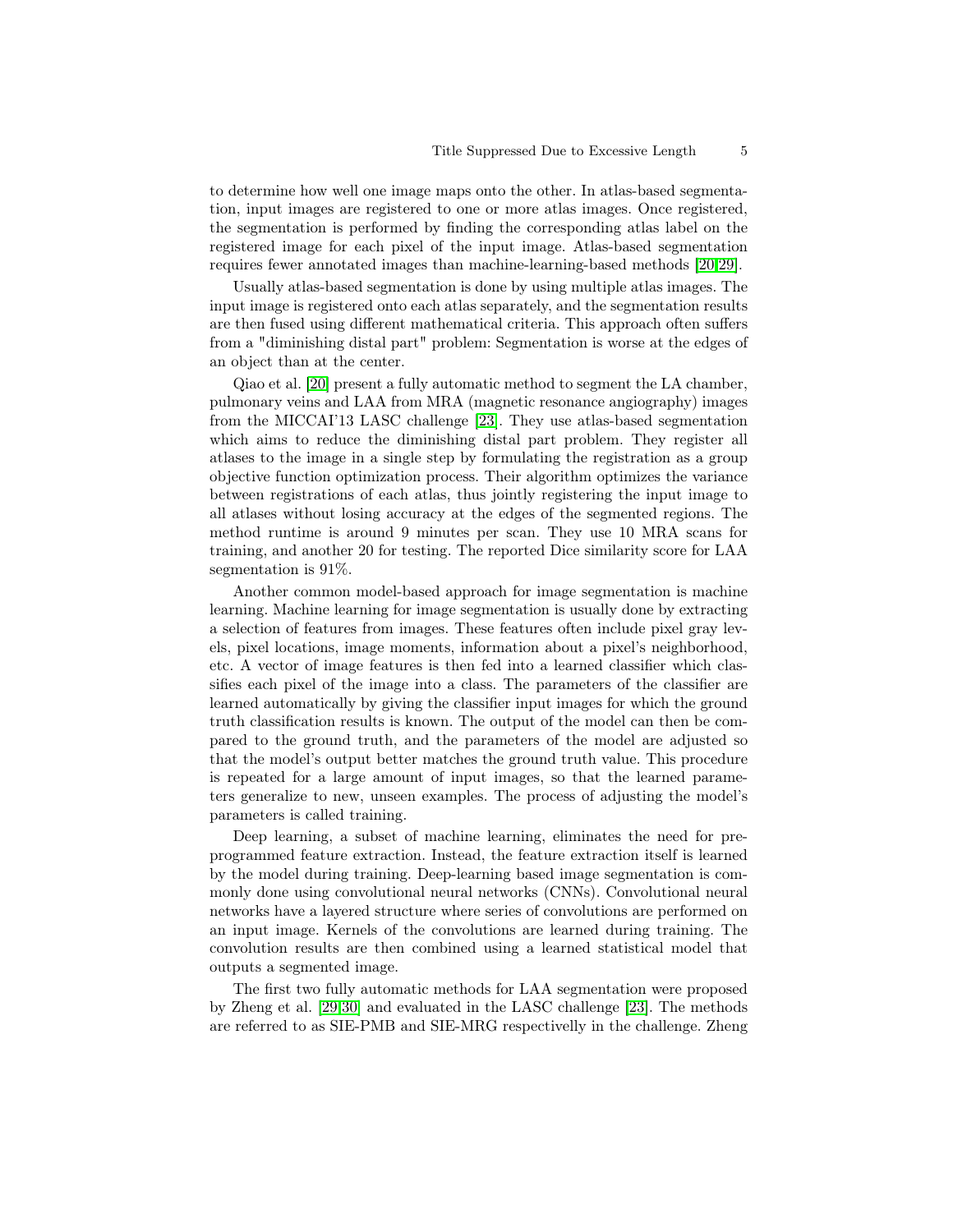to determine how well one image maps onto the other. In atlas-based segmentation, input images are registered to one or more atlas images. Once registered, the segmentation is performed by finding the corresponding atlas label on the registered image for each pixel of the input image. Atlas-based segmentation requires fewer annotated images than machine-learning-based methods [\[20,](#page-10-5)[29\]](#page-11-6).

Usually atlas-based segmentation is done by using multiple atlas images. The input image is registered onto each atlas separately, and the segmentation results are then fused using different mathematical criteria. This approach often suffers from a "diminishing distal part" problem: Segmentation is worse at the edges of an object than at the center.

Qiao et al. [\[20\]](#page-10-5) present a fully automatic method to segment the LA chamber, pulmonary veins and LAA from MRA (magnetic resonance angiography) images from the MICCAI'13 LASC challenge [\[23\]](#page-11-7). They use atlas-based segmentation which aims to reduce the diminishing distal part problem. They register all atlases to the image in a single step by formulating the registration as a group objective function optimization process. Their algorithm optimizes the variance between registrations of each atlas, thus jointly registering the input image to all atlases without losing accuracy at the edges of the segmented regions. The method runtime is around 9 minutes per scan. They use 10 MRA scans for training, and another 20 for testing. The reported Dice similarity score for LAA segmentation is 91%.

Another common model-based approach for image segmentation is machine learning. Machine learning for image segmentation is usually done by extracting a selection of features from images. These features often include pixel gray levels, pixel locations, image moments, information about a pixel's neighborhood, etc. A vector of image features is then fed into a learned classifier which classifies each pixel of the image into a class. The parameters of the classifier are learned automatically by giving the classifier input images for which the ground truth classification results is known. The output of the model can then be compared to the ground truth, and the parameters of the model are adjusted so that the model's output better matches the ground truth value. This procedure is repeated for a large amount of input images, so that the learned parameters generalize to new, unseen examples. The process of adjusting the model's parameters is called training.

Deep learning, a subset of machine learning, eliminates the need for preprogrammed feature extraction. Instead, the feature extraction itself is learned by the model during training. Deep-learning based image segmentation is commonly done using convolutional neural networks (CNNs). Convolutional neural networks have a layered structure where series of convolutions are performed on an input image. Kernels of the convolutions are learned during training. The convolution results are then combined using a learned statistical model that outputs a segmented image.

The first two fully automatic methods for LAA segmentation were proposed by Zheng et al. [\[29,](#page-11-6)[30\]](#page-11-8) and evaluated in the LASC challenge [\[23\]](#page-11-7). The methods are referred to as SIE-PMB and SIE-MRG respectivelly in the challenge. Zheng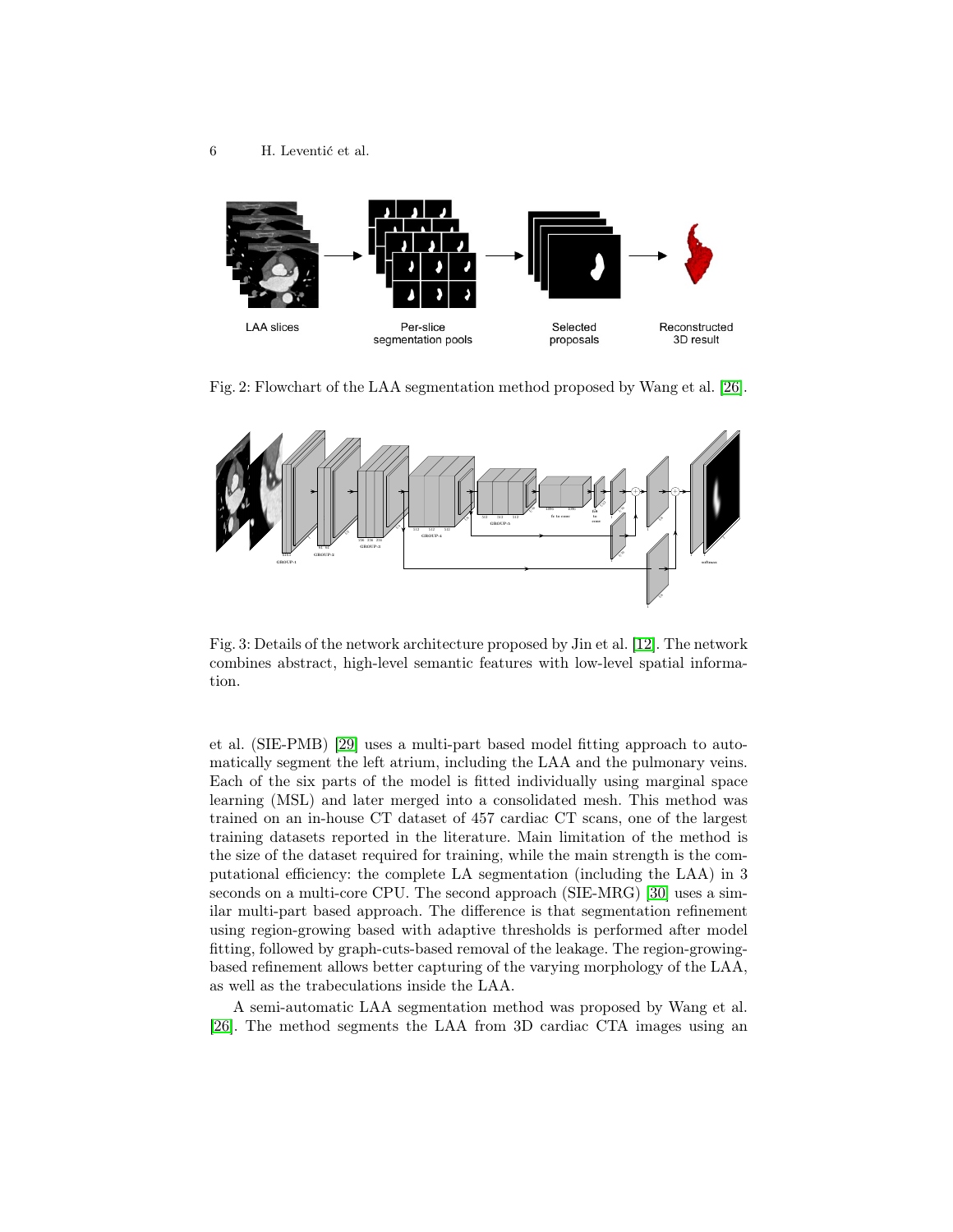<span id="page-5-0"></span>

Fig. 2: Flowchart of the LAA segmentation method proposed by Wang et al. [\[26\]](#page-11-9).

<span id="page-5-1"></span>

Fig. 3: Details of the network architecture proposed by Jin et al. [\[12\]](#page-10-6). The network combines abstract, high-level semantic features with low-level spatial information.

et al. (SIE-PMB) [\[29\]](#page-11-6) uses a multi-part based model fitting approach to automatically segment the left atrium, including the LAA and the pulmonary veins. Each of the six parts of the model is fitted individually using marginal space learning (MSL) and later merged into a consolidated mesh. This method was trained on an in-house CT dataset of 457 cardiac CT scans, one of the largest training datasets reported in the literature. Main limitation of the method is the size of the dataset required for training, while the main strength is the computational efficiency: the complete LA segmentation (including the LAA) in 3 seconds on a multi-core CPU. The second approach (SIE-MRG) [\[30\]](#page-11-8) uses a similar multi-part based approach. The difference is that segmentation refinement using region-growing based with adaptive thresholds is performed after model fitting, followed by graph-cuts-based removal of the leakage. The region-growingbased refinement allows better capturing of the varying morphology of the LAA, as well as the trabeculations inside the LAA.

A semi-automatic LAA segmentation method was proposed by Wang et al. [\[26\]](#page-11-9). The method segments the LAA from 3D cardiac CTA images using an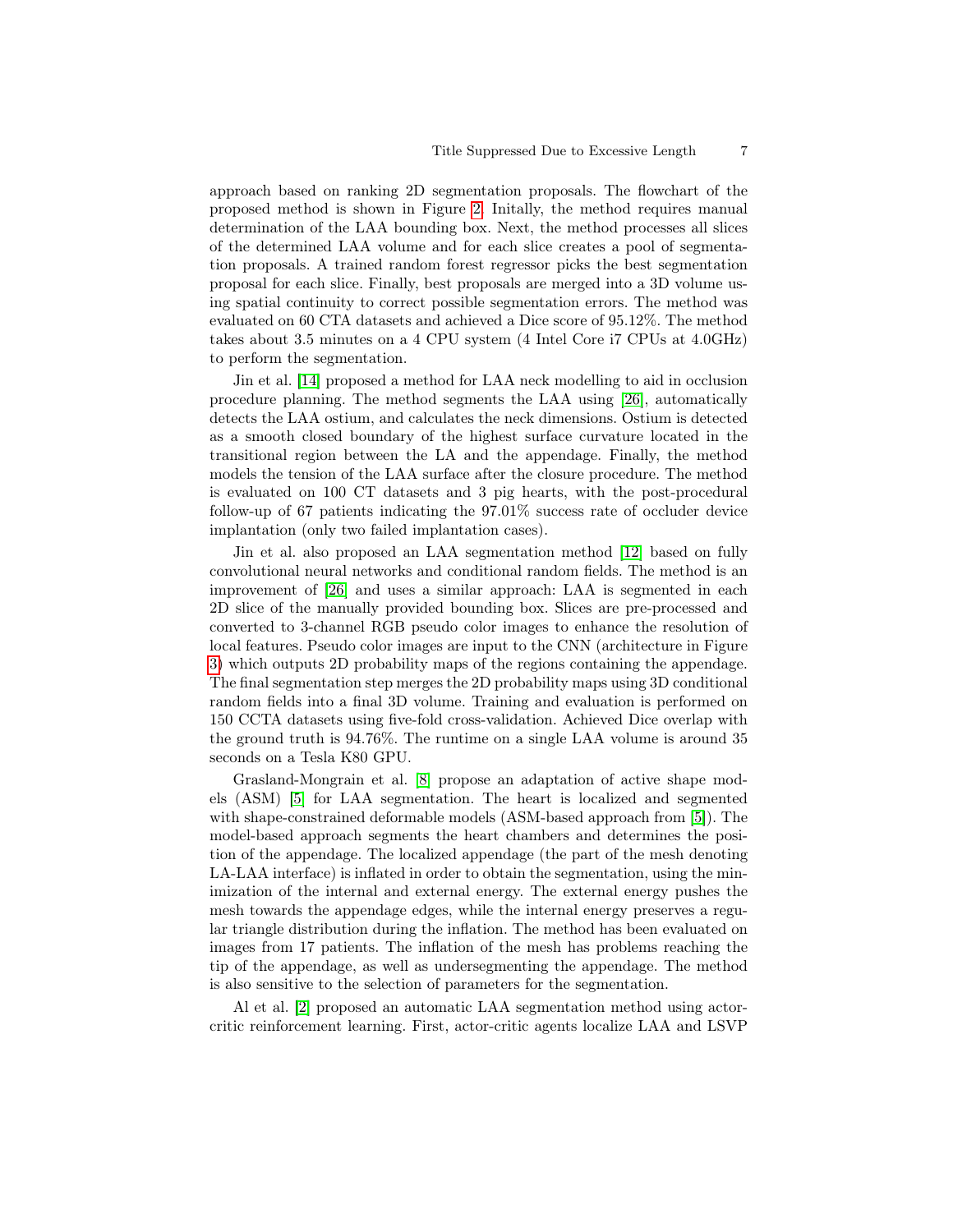approach based on ranking 2D segmentation proposals. The flowchart of the proposed method is shown in Figure [2.](#page-5-0) Initally, the method requires manual determination of the LAA bounding box. Next, the method processes all slices of the determined LAA volume and for each slice creates a pool of segmentation proposals. A trained random forest regressor picks the best segmentation proposal for each slice. Finally, best proposals are merged into a 3D volume using spatial continuity to correct possible segmentation errors. The method was evaluated on 60 CTA datasets and achieved a Dice score of 95.12%. The method takes about 3.5 minutes on a 4 CPU system (4 Intel Core i7 CPUs at 4.0GHz) to perform the segmentation.

Jin et al. [\[14\]](#page-10-7) proposed a method for LAA neck modelling to aid in occlusion procedure planning. The method segments the LAA using [\[26\]](#page-11-9), automatically detects the LAA ostium, and calculates the neck dimensions. Ostium is detected as a smooth closed boundary of the highest surface curvature located in the transitional region between the LA and the appendage. Finally, the method models the tension of the LAA surface after the closure procedure. The method is evaluated on 100 CT datasets and 3 pig hearts, with the post-procedural follow-up of 67 patients indicating the 97.01% success rate of occluder device implantation (only two failed implantation cases).

Jin et al. also proposed an LAA segmentation method [\[12\]](#page-10-6) based on fully convolutional neural networks and conditional random fields. The method is an improvement of [\[26\]](#page-11-9) and uses a similar approach: LAA is segmented in each 2D slice of the manually provided bounding box. Slices are pre-processed and converted to 3-channel RGB pseudo color images to enhance the resolution of local features. Pseudo color images are input to the CNN (architecture in Figure [3\)](#page-5-1) which outputs 2D probability maps of the regions containing the appendage. The final segmentation step merges the 2D probability maps using 3D conditional random fields into a final 3D volume. Training and evaluation is performed on 150 CCTA datasets using five-fold cross-validation. Achieved Dice overlap with the ground truth is 94.76%. The runtime on a single LAA volume is around 35 seconds on a Tesla K80 GPU.

Grasland-Mongrain et al. [\[8\]](#page-9-5) propose an adaptation of active shape models (ASM) [\[5\]](#page-9-6) for LAA segmentation. The heart is localized and segmented with shape-constrained deformable models (ASM-based approach from [\[5\]](#page-9-6)). The model-based approach segments the heart chambers and determines the position of the appendage. The localized appendage (the part of the mesh denoting LA-LAA interface) is inflated in order to obtain the segmentation, using the minimization of the internal and external energy. The external energy pushes the mesh towards the appendage edges, while the internal energy preserves a regular triangle distribution during the inflation. The method has been evaluated on images from 17 patients. The inflation of the mesh has problems reaching the tip of the appendage, as well as undersegmenting the appendage. The method is also sensitive to the selection of parameters for the segmentation.

Al et al. [\[2\]](#page-9-7) proposed an automatic LAA segmentation method using actorcritic reinforcement learning. First, actor-critic agents localize LAA and LSVP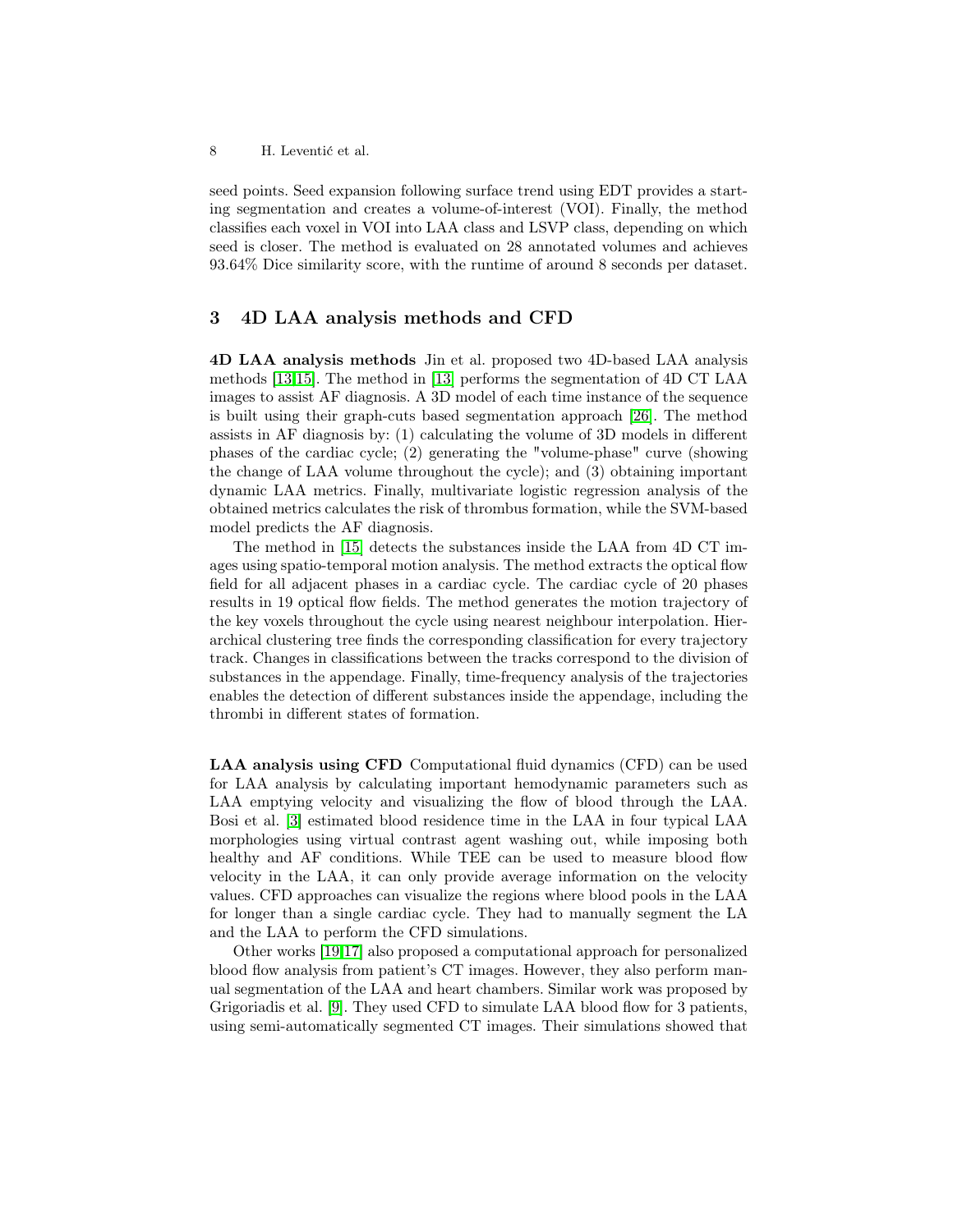8 H. Leventić et al.

seed points. Seed expansion following surface trend using EDT provides a starting segmentation and creates a volume-of-interest (VOI). Finally, the method classifies each voxel in VOI into LAA class and LSVP class, depending on which seed is closer. The method is evaluated on 28 annotated volumes and achieves 93.64% Dice similarity score, with the runtime of around 8 seconds per dataset.

## <span id="page-7-0"></span>3 4D LAA analysis methods and CFD

4D LAA analysis methods Jin et al. proposed two 4D-based LAA analysis methods [\[13,](#page-10-8)[15\]](#page-10-0). The method in [\[13\]](#page-10-8) performs the segmentation of 4D CT LAA images to assist AF diagnosis. A 3D model of each time instance of the sequence is built using their graph-cuts based segmentation approach [\[26\]](#page-11-9). The method assists in AF diagnosis by: (1) calculating the volume of 3D models in different phases of the cardiac cycle; (2) generating the "volume-phase" curve (showing the change of LAA volume throughout the cycle); and (3) obtaining important dynamic LAA metrics. Finally, multivariate logistic regression analysis of the obtained metrics calculates the risk of thrombus formation, while the SVM-based model predicts the AF diagnosis.

The method in [\[15\]](#page-10-0) detects the substances inside the LAA from 4D CT images using spatio-temporal motion analysis. The method extracts the optical flow field for all adjacent phases in a cardiac cycle. The cardiac cycle of 20 phases results in 19 optical flow fields. The method generates the motion trajectory of the key voxels throughout the cycle using nearest neighbour interpolation. Hierarchical clustering tree finds the corresponding classification for every trajectory track. Changes in classifications between the tracks correspond to the division of substances in the appendage. Finally, time-frequency analysis of the trajectories enables the detection of different substances inside the appendage, including the thrombi in different states of formation.

LAA analysis using CFD Computational fluid dynamics (CFD) can be used for LAA analysis by calculating important hemodynamic parameters such as LAA emptying velocity and visualizing the flow of blood through the LAA. Bosi et al. [\[3\]](#page-9-2) estimated blood residence time in the LAA in four typical LAA morphologies using virtual contrast agent washing out, while imposing both healthy and AF conditions. While TEE can be used to measure blood flow velocity in the LAA, it can only provide average information on the velocity values. CFD approaches can visualize the regions where blood pools in the LAA for longer than a single cardiac cycle. They had to manually segment the LA and the LAA to perform the CFD simulations.

Other works [\[19](#page-10-9)[,17\]](#page-10-10) also proposed a computational approach for personalized blood flow analysis from patient's CT images. However, they also perform manual segmentation of the LAA and heart chambers. Similar work was proposed by Grigoriadis et al. [\[9\]](#page-9-8). They used CFD to simulate LAA blood flow for 3 patients, using semi-automatically segmented CT images. Their simulations showed that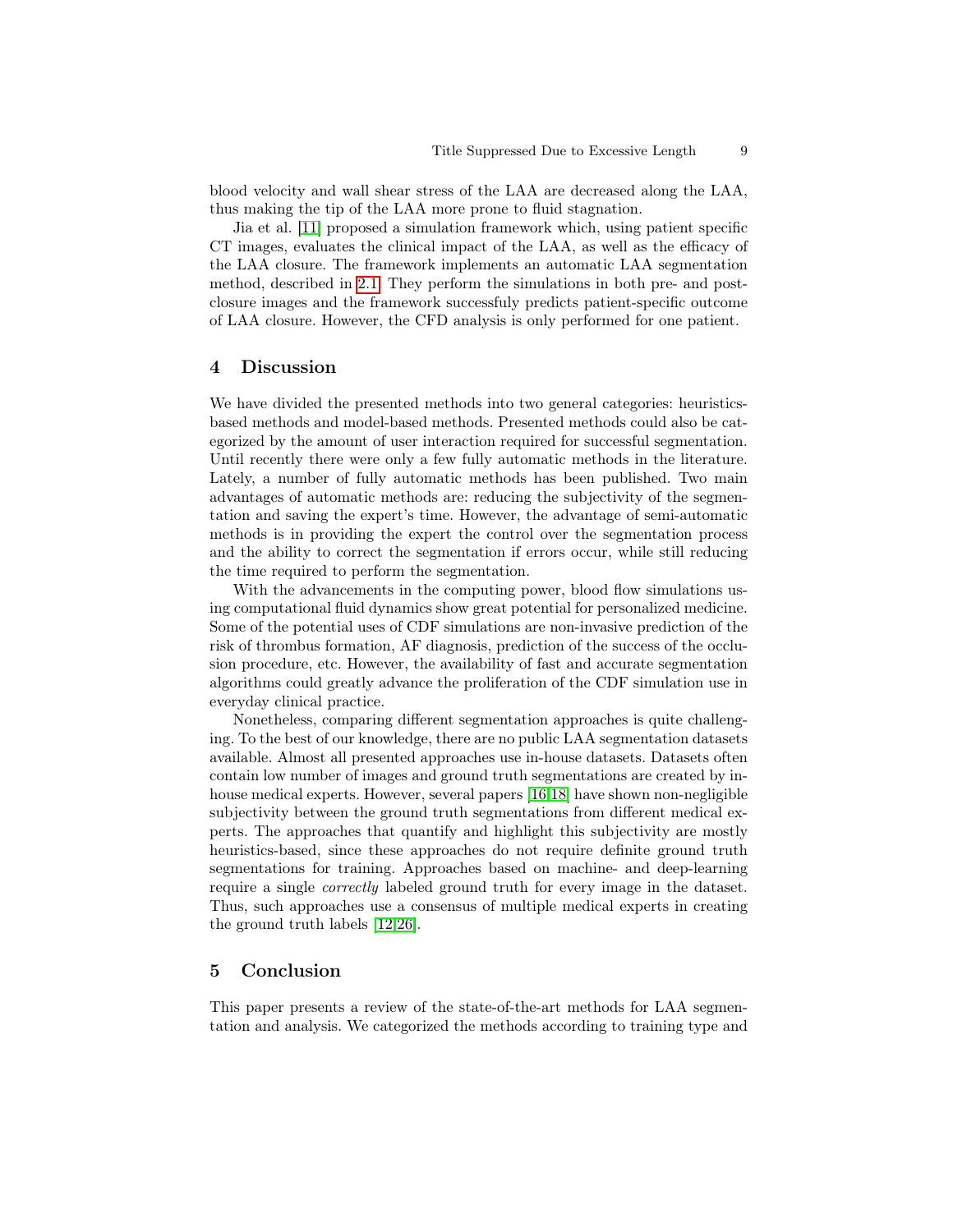blood velocity and wall shear stress of the LAA are decreased along the LAA, thus making the tip of the LAA more prone to fluid stagnation.

Jia et al. [\[11\]](#page-10-4) proposed a simulation framework which, using patient specific CT images, evaluates the clinical impact of the LAA, as well as the efficacy of the LAA closure. The framework implements an automatic LAA segmentation method, described in [2.1.](#page-2-0) They perform the simulations in both pre- and postclosure images and the framework successfuly predicts patient-specific outcome of LAA closure. However, the CFD analysis is only performed for one patient.

## <span id="page-8-0"></span>4 Discussion

We have divided the presented methods into two general categories: heuristicsbased methods and model-based methods. Presented methods could also be categorized by the amount of user interaction required for successful segmentation. Until recently there were only a few fully automatic methods in the literature. Lately, a number of fully automatic methods has been published. Two main advantages of automatic methods are: reducing the subjectivity of the segmentation and saving the expert's time. However, the advantage of semi-automatic methods is in providing the expert the control over the segmentation process and the ability to correct the segmentation if errors occur, while still reducing the time required to perform the segmentation.

With the advancements in the computing power, blood flow simulations using computational fluid dynamics show great potential for personalized medicine. Some of the potential uses of CDF simulations are non-invasive prediction of the risk of thrombus formation, AF diagnosis, prediction of the success of the occlusion procedure, etc. However, the availability of fast and accurate segmentation algorithms could greatly advance the proliferation of the CDF simulation use in everyday clinical practice.

Nonetheless, comparing different segmentation approaches is quite challenging. To the best of our knowledge, there are no public LAA segmentation datasets available. Almost all presented approaches use in-house datasets. Datasets often contain low number of images and ground truth segmentations are created by inhouse medical experts. However, several papers [\[16,](#page-10-2)[18\]](#page-10-3) have shown non-negligible subjectivity between the ground truth segmentations from different medical experts. The approaches that quantify and highlight this subjectivity are mostly heuristics-based, since these approaches do not require definite ground truth segmentations for training. Approaches based on machine- and deep-learning require a single correctly labeled ground truth for every image in the dataset. Thus, such approaches use a consensus of multiple medical experts in creating the ground truth labels [\[12](#page-10-6)[,26\]](#page-11-9).

## <span id="page-8-1"></span>5 Conclusion

This paper presents a review of the state-of-the-art methods for LAA segmentation and analysis. We categorized the methods according to training type and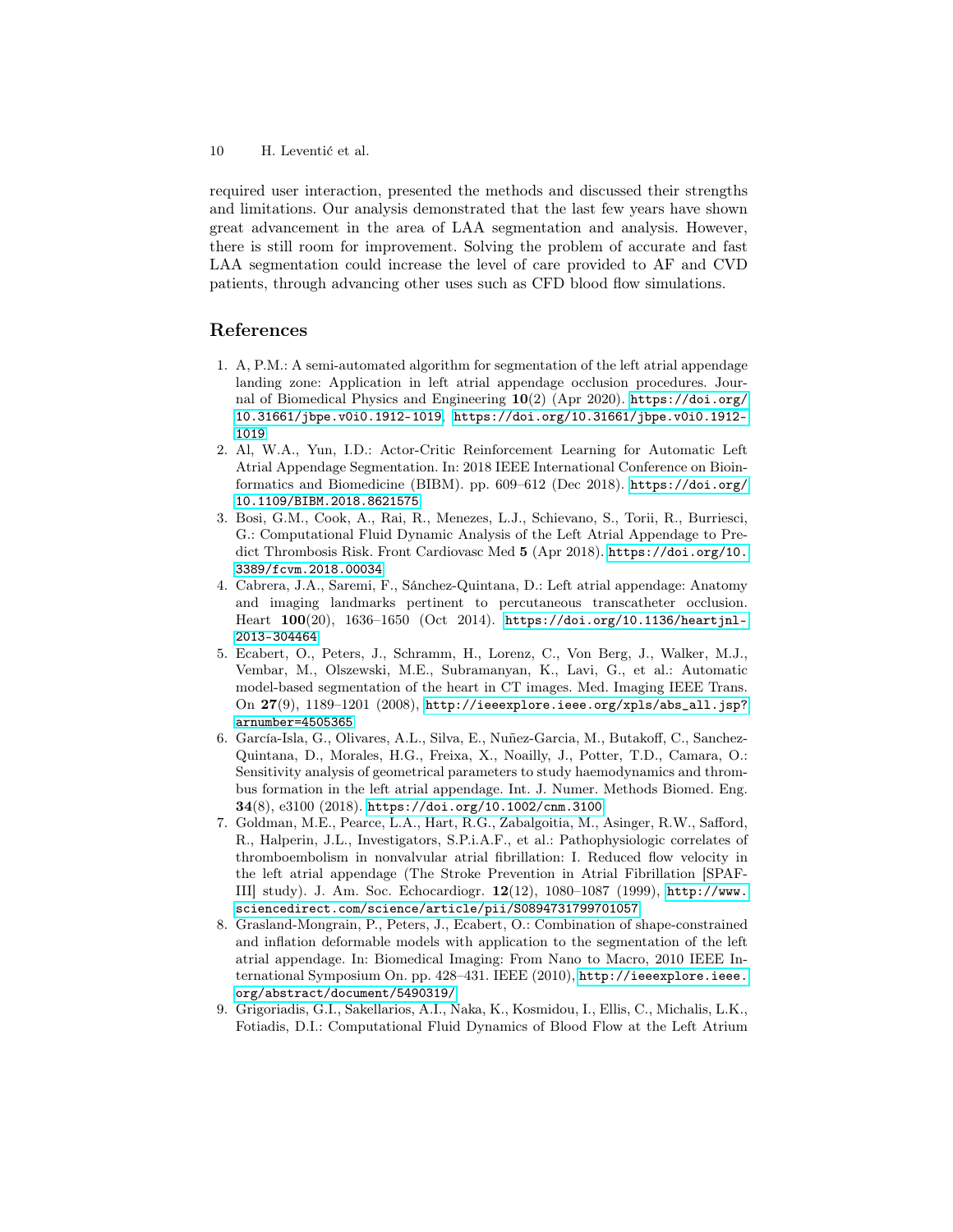10 H. Leventić et al.

required user interaction, presented the methods and discussed their strengths and limitations. Our analysis demonstrated that the last few years have shown great advancement in the area of LAA segmentation and analysis. However, there is still room for improvement. Solving the problem of accurate and fast LAA segmentation could increase the level of care provided to AF and CVD patients, through advancing other uses such as CFD blood flow simulations.

# References

- <span id="page-9-4"></span>1. A, P.M.: A semi-automated algorithm for segmentation of the left atrial appendage landing zone: Application in left atrial appendage occlusion procedures. Journal of Biomedical Physics and Engineering  $10(2)$  (Apr 2020). [https://doi.org/](https://doi.org/10.31661/jbpe.v0i0.1912-1019) [10.31661/jbpe.v0i0.1912-1019](https://doi.org/10.31661/jbpe.v0i0.1912-1019), [https://doi.org/10.31661/jbpe.v0i0.1912-](https://doi.org/10.31661/jbpe.v0i0.1912-1019) [1019](https://doi.org/10.31661/jbpe.v0i0.1912-1019)
- <span id="page-9-7"></span>2. Al, W.A., Yun, I.D.: Actor-Critic Reinforcement Learning for Automatic Left Atrial Appendage Segmentation. In: 2018 IEEE International Conference on Bioinformatics and Biomedicine (BIBM). pp. 609–612 (Dec 2018). [https://doi.org/](https://doi.org/10.1109/BIBM.2018.8621575) [10.1109/BIBM.2018.8621575](https://doi.org/10.1109/BIBM.2018.8621575)
- <span id="page-9-2"></span>3. Bosi, G.M., Cook, A., Rai, R., Menezes, L.J., Schievano, S., Torii, R., Burriesci, G.: Computational Fluid Dynamic Analysis of the Left Atrial Appendage to Predict Thrombosis Risk. Front Cardiovasc Med 5 (Apr 2018). [https://doi.org/10.](https://doi.org/10.3389/fcvm.2018.00034) [3389/fcvm.2018.00034](https://doi.org/10.3389/fcvm.2018.00034)
- <span id="page-9-1"></span>4. Cabrera, J.A., Saremi, F., Sánchez-Quintana, D.: Left atrial appendage: Anatomy and imaging landmarks pertinent to percutaneous transcatheter occlusion. Heart 100(20), 1636–1650 (Oct 2014). [https://doi.org/10.1136/heartjnl-](https://doi.org/10.1136/heartjnl-2013-304464)[2013-304464](https://doi.org/10.1136/heartjnl-2013-304464)
- <span id="page-9-6"></span>5. Ecabert, O., Peters, J., Schramm, H., Lorenz, C., Von Berg, J., Walker, M.J., Vembar, M., Olszewski, M.E., Subramanyan, K., Lavi, G., et al.: Automatic model-based segmentation of the heart in CT images. Med. Imaging IEEE Trans. On  $27(9)$ ,  $1189-1201$   $(2008)$ ,  $http://ieexplore.ieee.org/xpls/abs_all.jsp?$ [arnumber=4505365](http://ieeexplore.ieee.org/xpls/abs_all.jsp?arnumber=4505365)
- <span id="page-9-3"></span>6. García-Isla, G., Olivares, A.L., Silva, E., Nuñez-Garcia, M., Butakoff, C., Sanchez-Quintana, D., Morales, H.G., Freixa, X., Noailly, J., Potter, T.D., Camara, O.: Sensitivity analysis of geometrical parameters to study haemodynamics and thrombus formation in the left atrial appendage. Int. J. Numer. Methods Biomed. Eng. 34(8), e3100 (2018). <https://doi.org/10.1002/cnm.3100>
- <span id="page-9-0"></span>7. Goldman, M.E., Pearce, L.A., Hart, R.G., Zabalgoitia, M., Asinger, R.W., Safford, R., Halperin, J.L., Investigators, S.P.i.A.F., et al.: Pathophysiologic correlates of thromboembolism in nonvalvular atrial fibrillation: I. Reduced flow velocity in the left atrial appendage (The Stroke Prevention in Atrial Fibrillation [SPAF-III] study). J. Am. Soc. Echocardiogr. 12(12), 1080–1087 (1999), [http://www.](http://www.sciencedirect.com/science/article/pii/S0894731799701057) [sciencedirect.com/science/article/pii/S0894731799701057](http://www.sciencedirect.com/science/article/pii/S0894731799701057)
- <span id="page-9-5"></span>8. Grasland-Mongrain, P., Peters, J., Ecabert, O.: Combination of shape-constrained and inflation deformable models with application to the segmentation of the left atrial appendage. In: Biomedical Imaging: From Nano to Macro, 2010 IEEE International Symposium On. pp. 428–431. IEEE (2010), [http://ieeexplore.ieee.](http://ieeexplore.ieee.org/abstract/document/5490319/) [org/abstract/document/5490319/](http://ieeexplore.ieee.org/abstract/document/5490319/)
- <span id="page-9-8"></span>9. Grigoriadis, G.I., Sakellarios, A.I., Naka, K., Kosmidou, I., Ellis, C., Michalis, L.K., Fotiadis, D.I.: Computational Fluid Dynamics of Blood Flow at the Left Atrium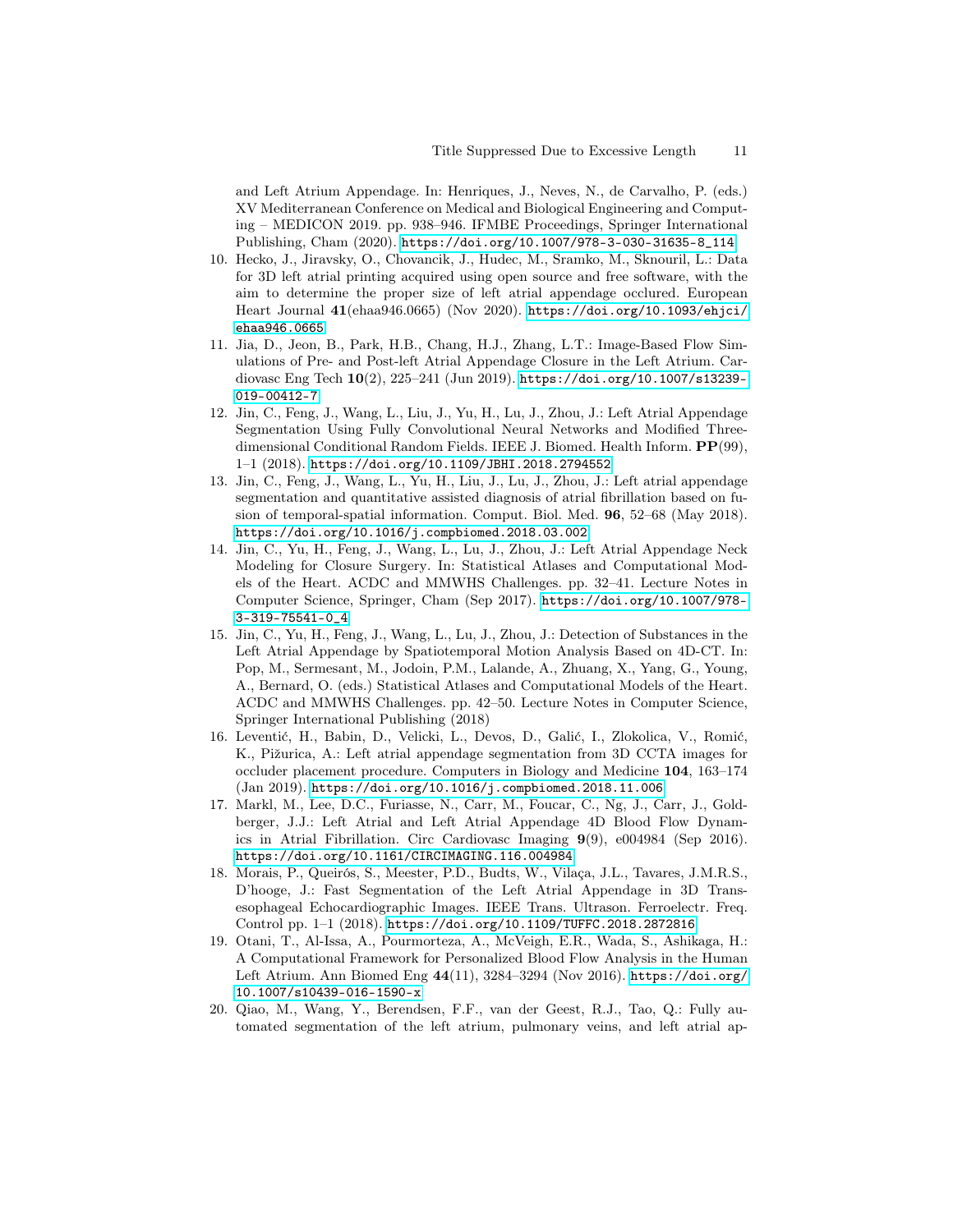and Left Atrium Appendage. In: Henriques, J., Neves, N., de Carvalho, P. (eds.) XV Mediterranean Conference on Medical and Biological Engineering and Computing – MEDICON 2019. pp. 938–946. IFMBE Proceedings, Springer International Publishing, Cham (2020). [https://doi.org/10.1007/978-3-030-31635-8\\_114](https://doi.org/10.1007/978-3-030-31635-8_114)

- <span id="page-10-1"></span>10. Hecko, J., Jiravsky, O., Chovancik, J., Hudec, M., Sramko, M., Sknouril, L.: Data for 3D left atrial printing acquired using open source and free software, with the aim to determine the proper size of left atrial appendage occlured. European Heart Journal 41(ehaa946.0665) (Nov 2020). [https://doi.org/10.1093/ehjci/](https://doi.org/10.1093/ehjci/ehaa946.0665) [ehaa946.0665](https://doi.org/10.1093/ehjci/ehaa946.0665)
- <span id="page-10-4"></span>11. Jia, D., Jeon, B., Park, H.B., Chang, H.J., Zhang, L.T.: Image-Based Flow Simulations of Pre- and Post-left Atrial Appendage Closure in the Left Atrium. Cardiovasc Eng Tech 10(2), 225–241 (Jun 2019). [https://doi.org/10.1007/s13239-](https://doi.org/10.1007/s13239-019-00412-7) [019-00412-7](https://doi.org/10.1007/s13239-019-00412-7)
- <span id="page-10-6"></span>12. Jin, C., Feng, J., Wang, L., Liu, J., Yu, H., Lu, J., Zhou, J.: Left Atrial Appendage Segmentation Using Fully Convolutional Neural Networks and Modified Threedimensional Conditional Random Fields. IEEE J. Biomed. Health Inform. PP(99), 1–1 (2018). <https://doi.org/10.1109/JBHI.2018.2794552>
- <span id="page-10-8"></span>13. Jin, C., Feng, J., Wang, L., Yu, H., Liu, J., Lu, J., Zhou, J.: Left atrial appendage segmentation and quantitative assisted diagnosis of atrial fibrillation based on fusion of temporal-spatial information. Comput. Biol. Med. 96, 52–68 (May 2018). <https://doi.org/10.1016/j.compbiomed.2018.03.002>
- <span id="page-10-7"></span>14. Jin, C., Yu, H., Feng, J., Wang, L., Lu, J., Zhou, J.: Left Atrial Appendage Neck Modeling for Closure Surgery. In: Statistical Atlases and Computational Models of the Heart. ACDC and MMWHS Challenges. pp. 32–41. Lecture Notes in Computer Science, Springer, Cham (Sep 2017). [https://doi.org/10.1007/978-](https://doi.org/10.1007/978-3-319-75541-0_4) [3-319-75541-0\\_4](https://doi.org/10.1007/978-3-319-75541-0_4)
- <span id="page-10-0"></span>15. Jin, C., Yu, H., Feng, J., Wang, L., Lu, J., Zhou, J.: Detection of Substances in the Left Atrial Appendage by Spatiotemporal Motion Analysis Based on 4D-CT. In: Pop, M., Sermesant, M., Jodoin, P.M., Lalande, A., Zhuang, X., Yang, G., Young, A., Bernard, O. (eds.) Statistical Atlases and Computational Models of the Heart. ACDC and MMWHS Challenges. pp. 42–50. Lecture Notes in Computer Science, Springer International Publishing (2018)
- <span id="page-10-2"></span>16. Leventić, H., Babin, D., Velicki, L., Devos, D., Galić, I., Zlokolica, V., Romić, K., Pižurica, A.: Left atrial appendage segmentation from 3D CCTA images for occluder placement procedure. Computers in Biology and Medicine 104, 163–174 (Jan 2019). <https://doi.org/10.1016/j.compbiomed.2018.11.006>
- <span id="page-10-10"></span>17. Markl, M., Lee, D.C., Furiasse, N., Carr, M., Foucar, C., Ng, J., Carr, J., Goldberger, J.J.: Left Atrial and Left Atrial Appendage 4D Blood Flow Dynamics in Atrial Fibrillation. Circ Cardiovasc Imaging 9(9), e004984 (Sep 2016). <https://doi.org/10.1161/CIRCIMAGING.116.004984>
- <span id="page-10-3"></span>18. Morais, P., Queirós, S., Meester, P.D., Budts, W., Vilaça, J.L., Tavares, J.M.R.S., D'hooge, J.: Fast Segmentation of the Left Atrial Appendage in 3D Transesophageal Echocardiographic Images. IEEE Trans. Ultrason. Ferroelectr. Freq. Control pp. 1–1 (2018). <https://doi.org/10.1109/TUFFC.2018.2872816>
- <span id="page-10-9"></span>19. Otani, T., Al-Issa, A., Pourmorteza, A., McVeigh, E.R., Wada, S., Ashikaga, H.: A Computational Framework for Personalized Blood Flow Analysis in the Human Left Atrium. Ann Biomed Eng 44(11), 3284–3294 (Nov 2016). [https://doi.org/](https://doi.org/10.1007/s10439-016-1590-x) [10.1007/s10439-016-1590-x](https://doi.org/10.1007/s10439-016-1590-x)
- <span id="page-10-5"></span>20. Qiao, M., Wang, Y., Berendsen, F.F., van der Geest, R.J., Tao, Q.: Fully automated segmentation of the left atrium, pulmonary veins, and left atrial ap-